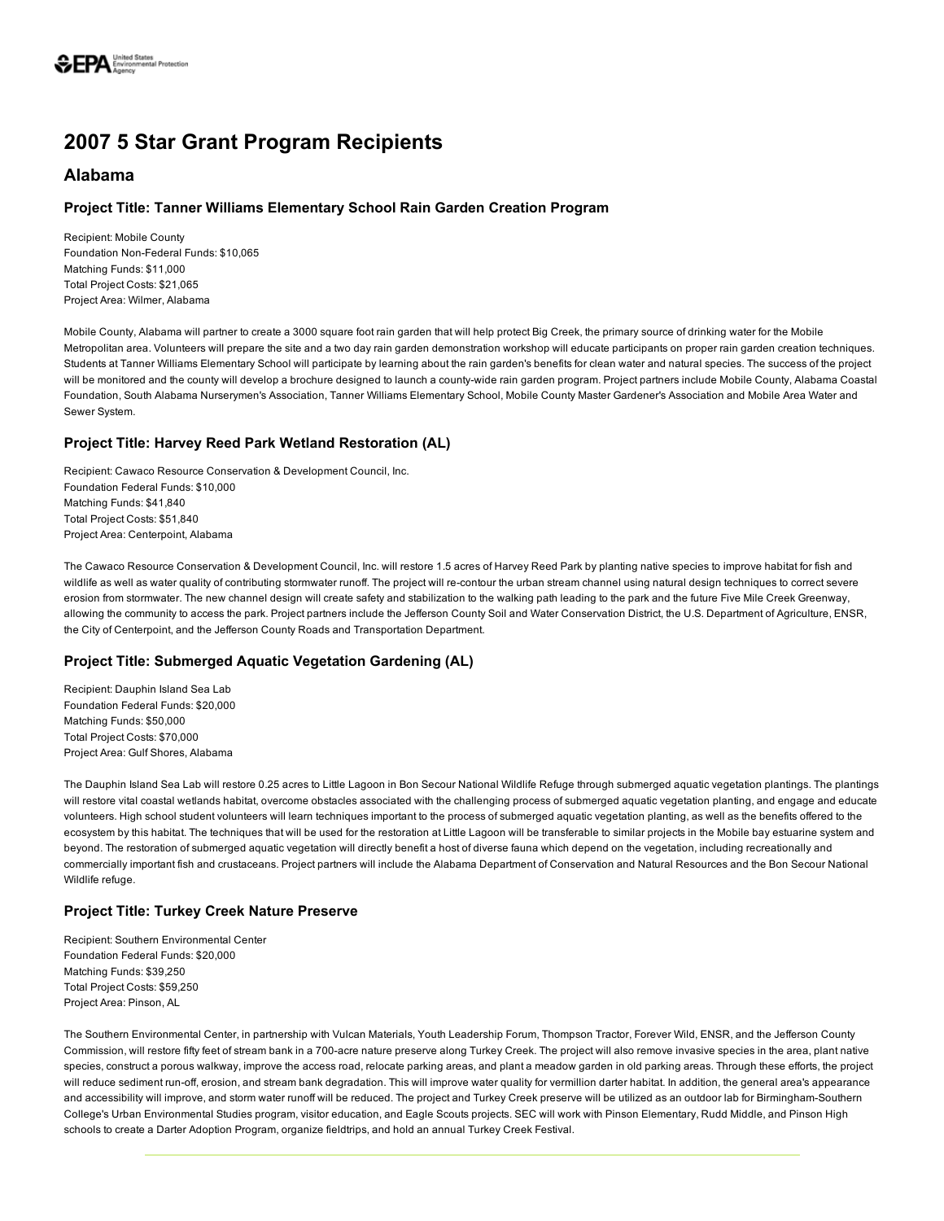

# 2007 5 Star Grant Program Recipients

### Alabama

#### Project Title: Tanner Williams Elementary School Rain Garden Creation Program

Recipient: Mobile County Foundation Non-Federal Funds: \$10,065 Matching Funds: \$11,000 Total Project Costs: \$21,065 Project Area: Wilmer, Alabama

Mobile County, Alabama will partner to create a 3000 square foot rain garden that will help protect Big Creek, the primary source of drinking water for the Mobile Metropolitan area. Volunteers will prepare the site and a two day rain garden demonstration workshop will educate participants on proper rain garden creation techniques. Students at Tanner Williams Elementary School will participate by learning about the rain garden's benefits for clean water and natural species. The success of the project will be monitored and the county will develop a brochure designed to launch a county-wide rain garden program. Project partners include Mobile County, Alabama Coastal Foundation, South Alabama Nurserymen's Association, Tanner Williams Elementary School, Mobile County Master Gardener's Association and Mobile Area Water and Sewer System.

#### Project Title: Harvey Reed Park Wetland Restoration (AL)

Recipient: Cawaco Resource Conservation & Development Council, Inc. Foundation Federal Funds: \$10,000 Matching Funds: \$41,840 Total Project Costs: \$51,840 Project Area: Centerpoint, Alabama

The Cawaco Resource Conservation & Development Council, Inc. will restore 1.5 acres of Harvey Reed Park by planting native species to improve habitat for fish and wildlife as well as water quality of contributing stormwater runoff. The project will re-contour the urban stream channel using natural design techniques to correct severe erosion from stormwater. The new channel design will create safety and stabilization to the walking path leading to the park and the future Five Mile Creek Greenway, allowing the community to access the park. Project partners include the Jefferson County Soil and Water Conservation District, the U.S. Department of Agriculture, ENSR, the City of Centerpoint, and the Jefferson County Roads and Transportation Department.

#### Project Title: Submerged Aquatic Vegetation Gardening (AL)

Recipient: Dauphin Island Sea Lab Foundation Federal Funds: \$20,000 Matching Funds: \$50,000 Total Project Costs: \$70,000 Project Area: Gulf Shores, Alabama

The Dauphin Island Sea Lab will restore 0.25 acres to Little Lagoon in Bon Secour National Wildlife Refuge through submerged aquatic vegetation plantings. The plantings will restore vital coastal wetlands habitat, overcome obstacles associated with the challenging process of submerged aquatic vegetation planting, and engage and educate volunteers. High school student volunteers will learn techniques important to the process of submerged aquatic vegetation planting, as well as the benefits offered to the ecosystem by this habitat. The techniques that will be used for the restoration at Little Lagoon will be transferable to similar projects in the Mobile bay estuarine system and beyond. The restoration of submerged aquatic vegetation will directly benefit a host of diverse fauna which depend on the vegetation, including recreationally and commercially important fish and crustaceans. Project partners will include the Alabama Department of Conservation and Natural Resources and the Bon Secour National Wildlife refuge.

#### Project Title: Turkey Creek Nature Preserve

Recipient: Southern Environmental Center Foundation Federal Funds: \$20,000 Matching Funds: \$39,250 Total Project Costs: \$59,250 Project Area: Pinson, AL

The Southern Environmental Center, in partnership with Vulcan Materials, Youth Leadership Forum, Thompson Tractor, Forever Wild, ENSR, and the Jefferson County Commission, will restore fifty feet of stream bank in a 700-acre nature preserve along Turkey Creek. The project will also remove invasive species in the area, plant native species, construct a porous walkway, improve the access road, relocate parking areas, and plant a meadow garden in old parking areas. Through these efforts, the project will reduce sediment run-off, erosion, and stream bank degradation. This will improve water quality for vermillion darter habitat. In addition, the general area's appearance and accessibility will improve, and storm water runoff will be reduced. The project and Turkey Creek preserve will be utilized as an outdoor lab for Birmingham-Southern College's Urban Environmental Studies program, visitor education, and Eagle Scouts projects. SEC will work with Pinson Elementary, Rudd Middle, and Pinson High schools to create a Darter Adoption Program, organize fieldtrips, and hold an annual Turkey Creek Festival.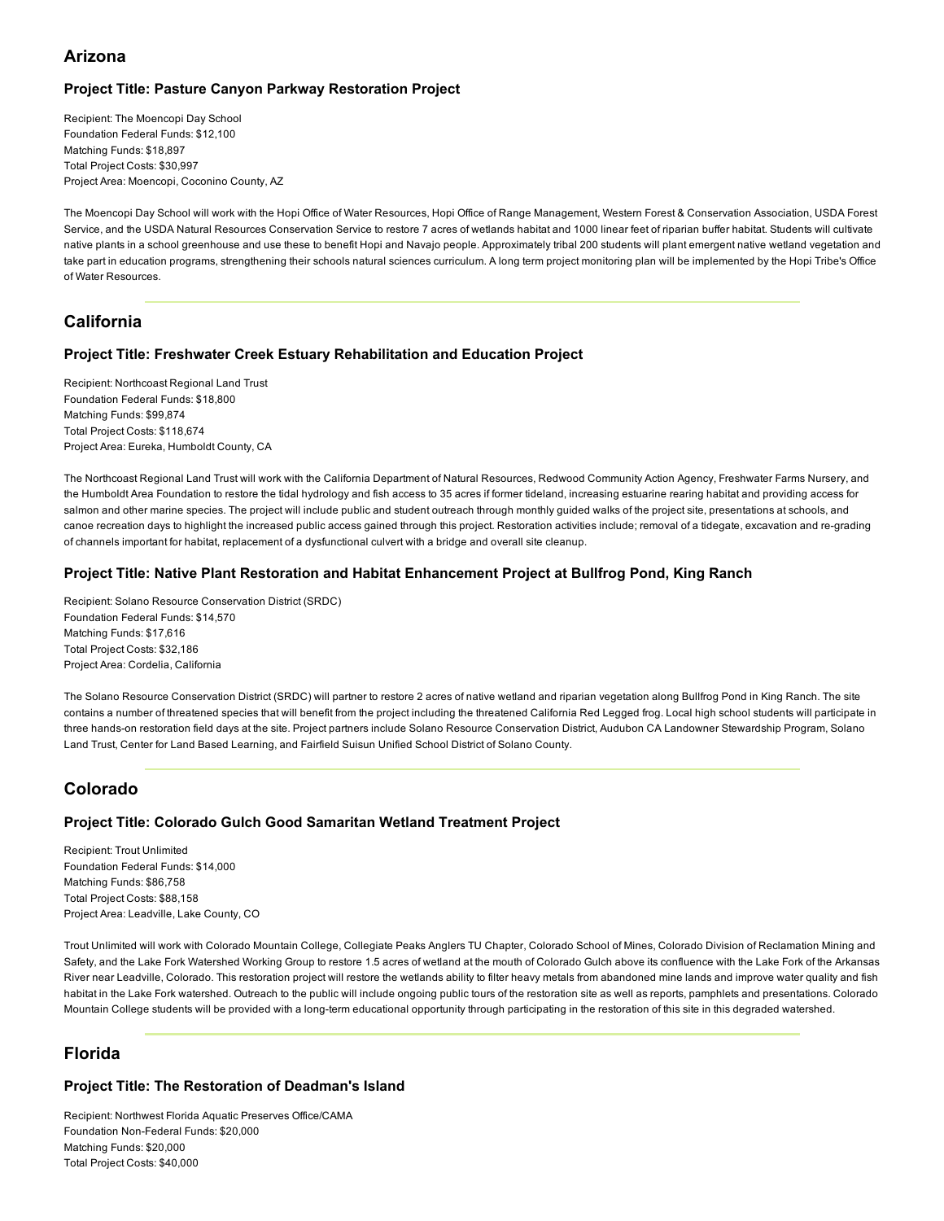## Arizona

### Project Title: Pasture Canyon Parkway Restoration Project

Recipient: The Moencopi Day School Foundation Federal Funds: \$12,100 Matching Funds: \$18,897 Total Project Costs: \$30,997 Project Area: Moencopi, Coconino County, AZ

The Moencopi Day School will work with the Hopi Office of Water Resources, Hopi Office of Range Management, Western Forest & Conservation Association, USDA Forest Service, and the USDA Natural Resources Conservation Service to restore 7 acres of wetlands habitat and 1000 linear feet of riparian buffer habitat. Students will cultivate native plants in a school greenhouse and use these to benefit Hopi and Navajo people. Approximately tribal 200 students will plant emergent native wetland vegetation and take part in education programs, strengthening their schools natural sciences curriculum. A long term project monitoring plan will be implemented by the Hopi Tribe's Office of Water Resources.

## California

#### Project Title: Freshwater Creek Estuary Rehabilitation and Education Project

Recipient: Northcoast Regional Land Trust Foundation Federal Funds: \$18,800 Matching Funds: \$99,874 Total Project Costs: \$118,674 Project Area: Eureka, Humboldt County, CA

The Northcoast Regional Land Trust will work with the California Department of Natural Resources, Redwood Community Action Agency, Freshwater Farms Nursery, and the Humboldt Area Foundation to restore the tidal hydrology and fish access to 35 acres if former tideland, increasing estuarine rearing habitat and providing access for salmon and other marine species. The project will include public and student outreach through monthly guided walks of the project site, presentations at schools, and canoe recreation days to highlight the increased public access gained through this project. Restoration activities include; removal of a tidegate, excavation and re-grading of channels important for habitat, replacement of a dysfunctional culvert with a bridge and overall site cleanup.

#### Project Title: Native Plant Restoration and Habitat Enhancement Project at Bullfrog Pond, King Ranch

Recipient: Solano Resource Conservation District (SRDC) Foundation Federal Funds: \$14,570 Matching Funds: \$17,616 Total Project Costs: \$32,186 Project Area: Cordelia, California

The Solano Resource Conservation District (SRDC) will partner to restore 2 acres of native wetland and riparian vegetation along Bullfrog Pond in King Ranch. The site contains a number of threatened species that will benefit from the project including the threatened California Red Legged frog. Local high school students will participate in three hands-on restoration field days at the site. Project partners include Solano Resource Conservation District, Audubon CA Landowner Stewardship Program, Solano Land Trust, Center for Land Based Learning, and Fairfield Suisun Unified School District of Solano County.

## Colorado

### Project Title: Colorado Gulch Good Samaritan Wetland Treatment Project

Recipient: Trout Unlimited Foundation Federal Funds: \$14,000 Matching Funds: \$86,758 Total Project Costs: \$88,158 Project Area: Leadville, Lake County, CO

Trout Unlimited will work with Colorado Mountain College, Collegiate Peaks Anglers TU Chapter, Colorado School of Mines, Colorado Division of Reclamation Mining and Safety, and the Lake Fork Watershed Working Group to restore 1.5 acres of wetland at the mouth of Colorado Gulch above its confluence with the Lake Fork of the Arkansas River near Leadville, Colorado. This restoration project will restore the wetlands ability to filter heavy metals from abandoned mine lands and improve water quality and fish habitat in the Lake Fork watershed. Outreach to the public will include ongoing public tours of the restoration site as well as reports, pamphlets and presentations. Colorado Mountain College students will be provided with a long-term educational opportunity through participating in the restoration of this site in this degraded watershed.

## Florida

#### Project Title: The Restoration of Deadman's Island

Recipient: Northwest Florida Aquatic Preserves Office/CAMA Foundation Non-Federal Funds: \$20,000 Matching Funds: \$20,000 Total Project Costs: \$40,000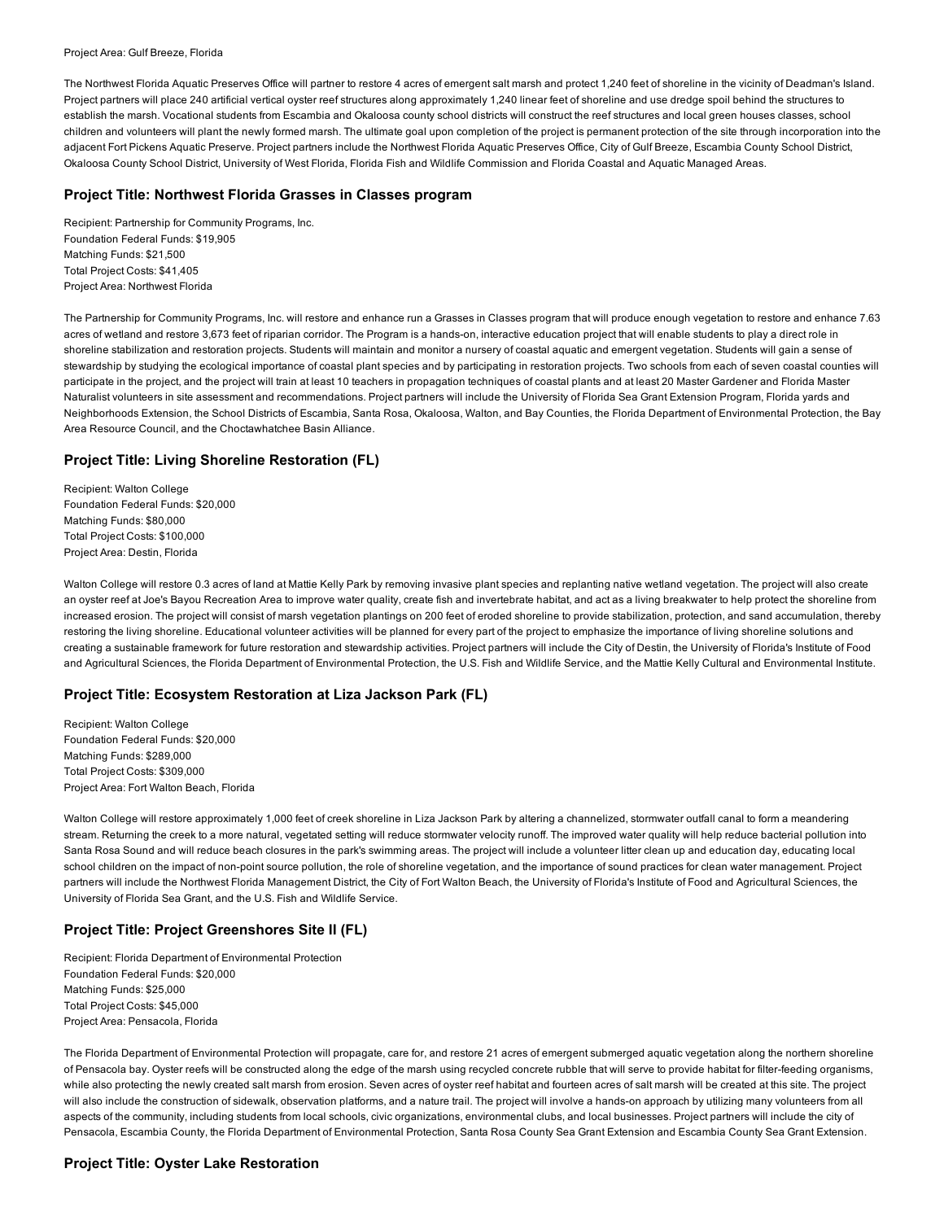#### Project Area: Gulf Breeze, Florida

The Northwest Florida Aquatic Preserves Office will partner to restore 4 acres of emergent salt marsh and protect 1,240 feet of shoreline in the vicinity of Deadman's Island. Project partners will place 240 artificial vertical oyster reef structures along approximately 1,240 linear feet of shoreline and use dredge spoil behind the structures to establish the marsh. Vocational students from Escambia and Okaloosa county school districts will construct the reef structures and local green houses classes, school children and volunteers will plant the newly formed marsh. The ultimate goal upon completion of the project is permanent protection of the site through incorporation into the adjacent Fort Pickens Aquatic Preserve. Project partners include the Northwest Florida Aquatic Preserves Office, City of Gulf Breeze, Escambia County School District, Okaloosa County School District, University of West Florida, Florida Fish and Wildlife Commission and Florida Coastal and Aquatic Managed Areas.

#### Project Title: Northwest Florida Grasses in Classes program

Recipient: Partnership for Community Programs, Inc. Foundation Federal Funds: \$19,905 Matching Funds: \$21,500 Total Project Costs: \$41,405 Project Area: Northwest Florida

The Partnership for Community Programs, Inc. will restore and enhance run a Grasses in Classes program that will produce enough vegetation to restore and enhance 7.63 acres of wetland and restore 3,673 feet of riparian corridor. The Program is a hands-on, interactive education project that will enable students to play a direct role in shoreline stabilization and restoration projects. Students will maintain and monitor a nursery of coastal aquatic and emergent vegetation. Students will gain a sense of stewardship by studying the ecological importance of coastal plant species and by participating in restoration projects. Two schools from each of seven coastal counties will participate in the project, and the project will train at least 10 teachers in propagation techniques of coastal plants and at least 20 Master Gardener and Florida Master Naturalist volunteers in site assessment and recommendations. Project partners will include the University of Florida Sea Grant Extension Program, Florida yards and Neighborhoods Extension, the School Districts of Escambia, Santa Rosa, Okaloosa, Walton, and Bay Counties, the Florida Department of Environmental Protection, the Bay Area Resource Council, and the Choctawhatchee Basin Alliance.

#### Project Title: Living Shoreline Restoration (FL)

Recipient: Walton College Foundation Federal Funds: \$20,000 Matching Funds: \$80,000 Total Project Costs: \$100,000 Project Area: Destin, Florida

Walton College will restore 0.3 acres of land at Mattie Kelly Park by removing invasive plant species and replanting native wetland vegetation. The project will also create an oyster reef at Joe's Bayou Recreation Area to improve water quality, create fish and invertebrate habitat, and act as a living breakwater to help protect the shoreline from increased erosion. The project will consist of marsh vegetation plantings on 200 feet of eroded shoreline to provide stabilization, protection, and sand accumulation, thereby restoring the living shoreline. Educational volunteer activities will be planned for every part of the project to emphasize the importance of living shoreline solutions and creating a sustainable framework for future restoration and stewardship activities. Project partners will include the City of Destin, the University of Florida's Institute of Food and Agricultural Sciences, the Florida Department of Environmental Protection, the U.S. Fish and Wildlife Service, and the Mattie Kelly Cultural and Environmental Institute.

#### Project Title: Ecosystem Restoration at Liza Jackson Park (FL)

Recipient: Walton College Foundation Federal Funds: \$20,000 Matching Funds: \$289,000 Total Project Costs: \$309,000 Project Area: Fort Walton Beach, Florida

Walton College will restore approximately 1,000 feet of creek shoreline in Liza Jackson Park by altering a channelized, stormwater outfall canal to form a meandering stream. Returning the creek to a more natural, vegetated setting will reduce stormwater velocity runoff. The improved water quality will help reduce bacterial pollution into Santa Rosa Sound and will reduce beach closures in the park's swimming areas. The project will include a volunteer litter clean up and education day, educating local school children on the impact of non-point source pollution, the role of shoreline vegetation, and the importance of sound practices for clean water management. Project partners will include the Northwest Florida Management District, the City of Fort Walton Beach, the University of Florida's Institute of Food and Agricultural Sciences, the University of Florida Sea Grant, and the U.S. Fish and Wildlife Service.

### Project Title: Project Greenshores Site II (FL)

Recipient: Florida Department of Environmental Protection Foundation Federal Funds: \$20,000 Matching Funds: \$25,000 Total Project Costs: \$45,000 Project Area: Pensacola, Florida

The Florida Department of Environmental Protection will propagate, care for, and restore 21 acres of emergent submerged aquatic vegetation along the northern shoreline of Pensacola bay. Oyster reefs will be constructed along the edge of the marsh using recycled concrete rubble that will serve to provide habitat for filterfeeding organisms, while also protecting the newly created salt marsh from erosion. Seven acres of oyster reef habitat and fourteen acres of salt marsh will be created at this site. The project will also include the construction of sidewalk, observation platforms, and a nature trail. The project will involve a hands-on approach by utilizing many volunteers from all aspects of the community, including students from local schools, civic organizations, environmental clubs, and local businesses. Project partners will include the city of Pensacola, Escambia County, the Florida Department of Environmental Protection, Santa Rosa County Sea Grant Extension and Escambia County Sea Grant Extension.

#### Project Title: Oyster Lake Restoration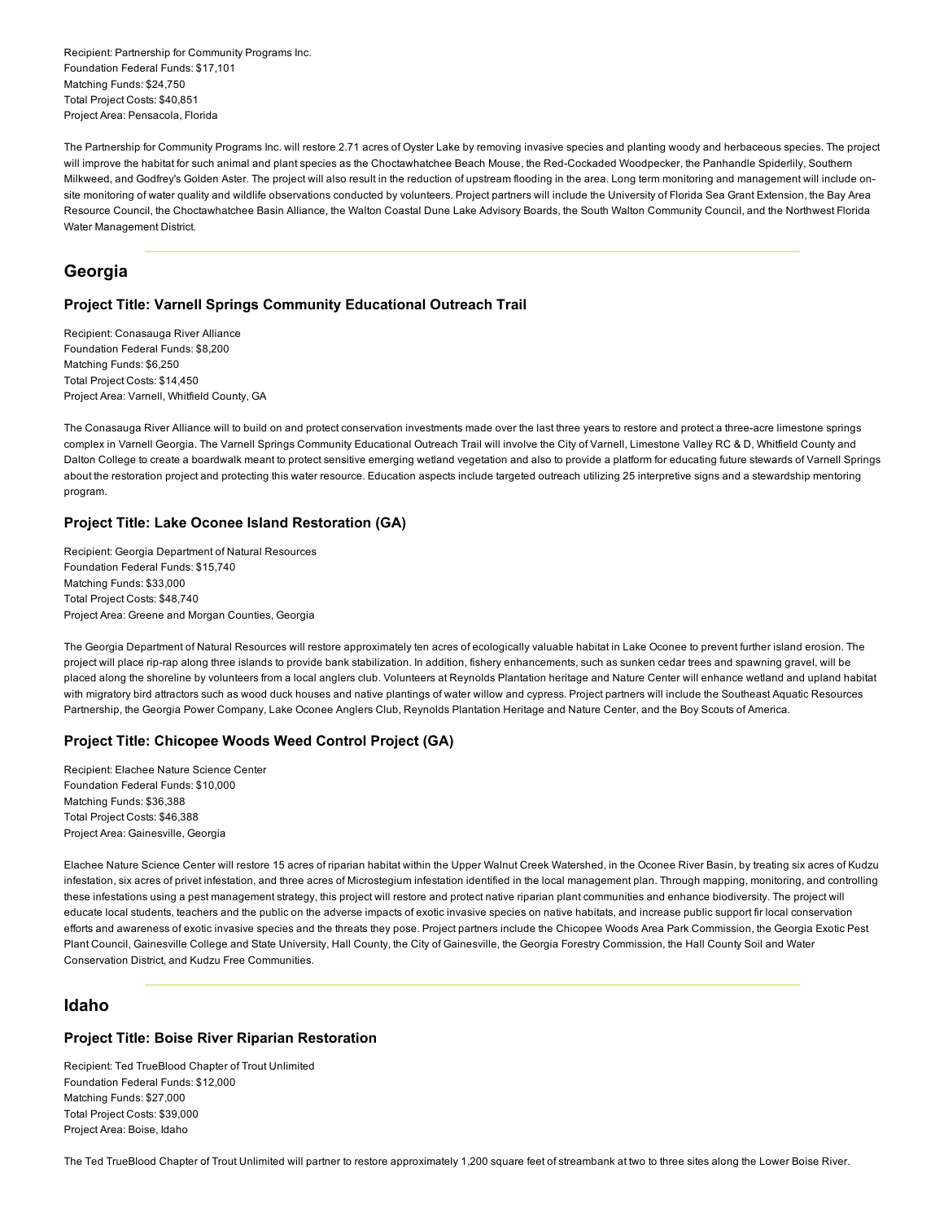Recipient: Partnership for Community Programs Inc. Foundation Federal Funds: \$17,101 Matching Funds: \$24,750 Total Project Costs: \$40,851 Project Area: Pensacola, Florida

The Partnership for Community Programs Inc. will restore 2.71 acres of Oyster Lake by removing invasive species and planting woody and herbaceous species. The project will improve the habitat for such animal and plant species as the Choctawhatchee Beach Mouse, the Red-Cockaded Woodpecker, the Panhandle Spiderlily, Southern Milkweed, and Godfrey's Golden Aster. The project will also result in the reduction of upstream flooding in the area. Long term monitoring and management will include onsite monitoring of water quality and wildlife observations conducted by volunteers. Project partners will include the University of Florida Sea Grant Extension, the Bay Area Resource Council, the Choctawhatchee Basin Alliance, the Walton Coastal Dune Lake Advisory Boards, the South Walton Community Council, and the Northwest Florida Water Management District.

### Georgia

#### Project Title: Varnell Springs Community Educational Outreach Trail

Recipient: Conasauga River Alliance Foundation Federal Funds: \$8,200 Matching Funds: \$6,250 Total Project Costs: \$14,450 Project Area: Varnell, Whitfield County, GA

The Conasauga River Alliance will to build on and protect conservation investments made over the last three years to restore and protect a three-acre limestone springs complex in Varnell Georgia. The Varnell Springs Community Educational Outreach Trail will involve the City of Varnell, Limestone Valley RC & D, Whitfield County and Dalton College to create a boardwalk meant to protect sensitive emerging wetland vegetation and also to provide a platform for educating future stewards of Varnell Springs about the restoration project and protecting this water resource. Education aspects include targeted outreach utilizing 25 interpretive signs and a stewardship mentoring program.

#### Project Title: Lake Oconee Island Restoration (GA)

Recipient: Georgia Department of Natural Resources Foundation Federal Funds: \$15,740 Matching Funds: \$33,000 Total Project Costs: \$48,740 Project Area: Greene and Morgan Counties, Georgia

The Georgia Department of Natural Resources will restore approximately ten acres of ecologically valuable habitat in Lake Oconee to prevent further island erosion. The project will place rip-rap along three islands to provide bank stabilization. In addition, fishery enhancements, such as sunken cedar trees and spawning gravel, will be placed along the shoreline by volunteers from a local anglers club. Volunteers at Reynolds Plantation heritage and Nature Center will enhance wetland and upland habitat with migratory bird attractors such as wood duck houses and native plantings of water willow and cypress. Project partners will include the Southeast Aquatic Resources Partnership, the Georgia Power Company, Lake Oconee Anglers Club, Reynolds Plantation Heritage and Nature Center, and the Boy Scouts of America.

#### Project Title: Chicopee Woods Weed Control Project (GA)

Recipient: Elachee Nature Science Center Foundation Federal Funds: \$10,000 Matching Funds: \$36,388 Total Project Costs: \$46,388 Project Area: Gainesville, Georgia

Elachee Nature Science Center will restore 15 acres of riparian habitat within the Upper Walnut Creek Watershed, in the Oconee River Basin, by treating six acres of Kudzu infestation, six acres of privet infestation, and three acres of Microstegium infestation identified in the local management plan. Through mapping, monitoring, and controlling these infestations using a pest management strategy, this project will restore and protect native riparian plant communities and enhance biodiversity. The project will educate local students, teachers and the public on the adverse impacts of exotic invasive species on native habitats, and increase public support fir local conservation efforts and awareness of exotic invasive species and the threats they pose. Project partners include the Chicopee Woods Area Park Commission, the Georgia Exotic Pest Plant Council, Gainesville College and State University, Hall County, the City of Gainesville, the Georgia Forestry Commission, the Hall County Soil and Water Conservation District, and Kudzu Free Communities.

### Idaho

#### Project Title: Boise River Riparian Restoration

Recipient: Ted TrueBlood Chapter of Trout Unlimited Foundation Federal Funds: \$12,000 Matching Funds: \$27,000 Total Project Costs: \$39,000 Project Area: Boise, Idaho

The Ted TrueBlood Chapter of Trout Unlimited will partner to restore approximately 1,200 square feet of streambank at two to three sites along the Lower Boise River.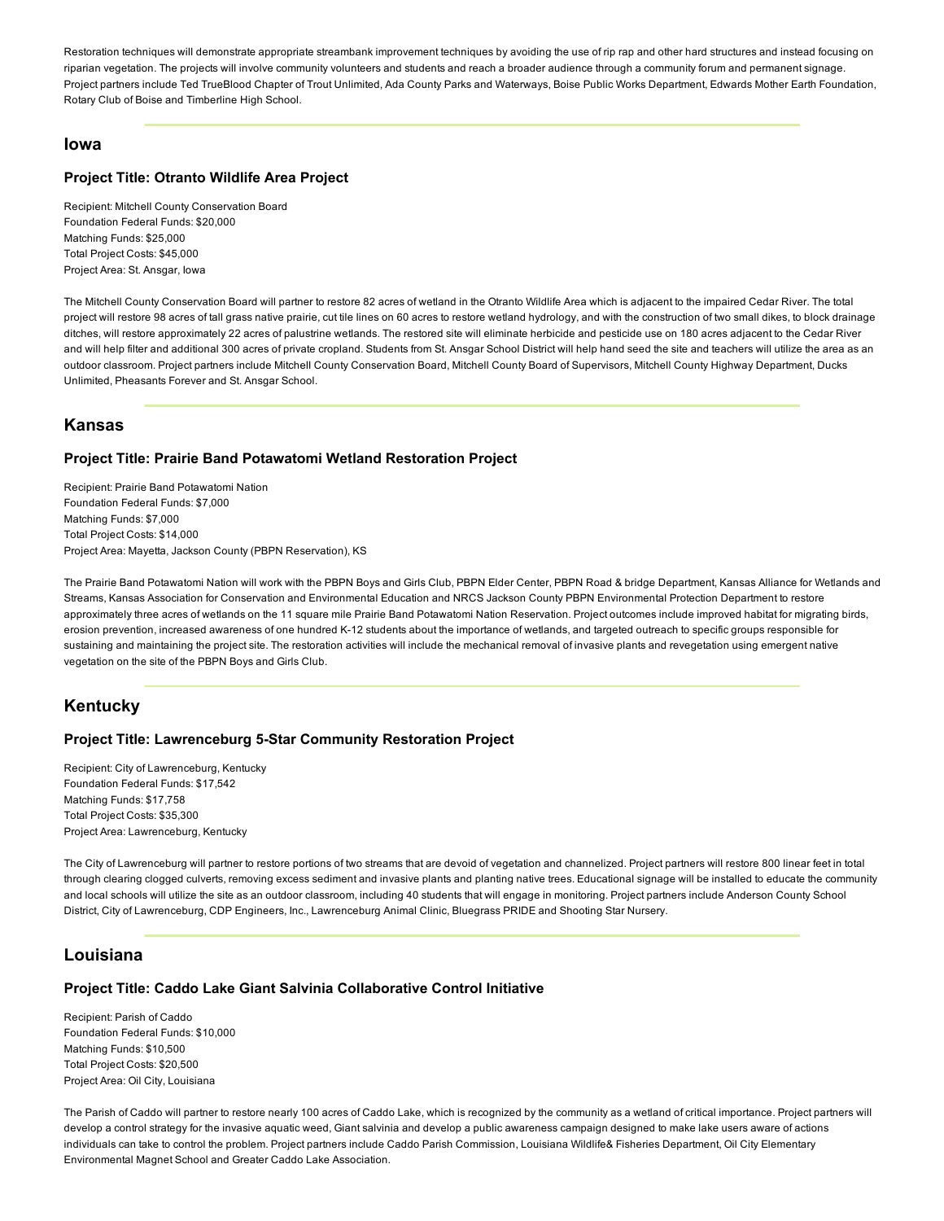Restoration techniques will demonstrate appropriate streambank improvement techniques by avoiding the use of rip rap and other hard structures and instead focusing on riparian vegetation. The projects will involve community volunteers and students and reach a broader audience through a community forum and permanent signage. Project partners include Ted TrueBlood Chapter of Trout Unlimited, Ada County Parks and Waterways, Boise Public Works Department, Edwards Mother Earth Foundation, Rotary Club of Boise and Timberline High School.

### Iowa

#### Project Title: Otranto Wildlife Area Project

Recipient: Mitchell County Conservation Board Foundation Federal Funds: \$20,000 Matching Funds: \$25,000 Total Project Costs: \$45,000 Project Area: St. Ansgar, Iowa

The Mitchell County Conservation Board will partner to restore 82 acres of wetland in the Otranto Wildlife Area which is adjacent to the impaired Cedar River. The total project will restore 98 acres of tall grass native prairie, cut tile lines on 60 acres to restore wetland hydrology, and with the construction of two small dikes, to block drainage ditches, will restore approximately 22 acres of palustrine wetlands. The restored site will eliminate herbicide and pesticide use on 180 acres adjacent to the Cedar River and will help filter and additional 300 acres of private cropland. Students from St. Ansgar School District will help hand seed the site and teachers will utilize the area as an outdoor classroom. Project partners include Mitchell County Conservation Board, Mitchell County Board of Supervisors, Mitchell County Highway Department, Ducks Unlimited, Pheasants Forever and St. Ansgar School.

### Kansas

#### Project Title: Prairie Band Potawatomi Wetland Restoration Project

Recipient: Prairie Band Potawatomi Nation Foundation Federal Funds: \$7,000 Matching Funds: \$7,000 Total Project Costs: \$14,000 Project Area: Mayetta, Jackson County (PBPN Reservation), KS

The Prairie Band Potawatomi Nation will work with the PBPN Boys and Girls Club, PBPN Elder Center, PBPN Road & bridge Department, Kansas Alliance for Wetlands and Streams, Kansas Association for Conservation and Environmental Education and NRCS Jackson County PBPN Environmental Protection Department to restore approximately three acres of wetlands on the 11 square mile Prairie Band Potawatomi Nation Reservation. Project outcomes include improved habitat for migrating birds, erosion prevention, increased awareness of one hundred K12 students about the importance of wetlands, and targeted outreach to specific groups responsible for sustaining and maintaining the project site. The restoration activities will include the mechanical removal of invasive plants and revegetation using emergent native vegetation on the site of the PBPN Boys and Girls Club.

### Kentucky

#### Project Title: Lawrenceburg 5-Star Community Restoration Project

Recipient: City of Lawrenceburg, Kentucky Foundation Federal Funds: \$17,542 Matching Funds: \$17,758 Total Project Costs: \$35,300 Project Area: Lawrenceburg, Kentucky

The City of Lawrenceburg will partner to restore portions of two streams that are devoid of vegetation and channelized. Project partners will restore 800 linear feet in total through clearing clogged culverts, removing excess sediment and invasive plants and planting native trees. Educational signage will be installed to educate the community and local schools will utilize the site as an outdoor classroom, including 40 students that will engage in monitoring. Project partners include Anderson County School District, City of Lawrenceburg, CDP Engineers, Inc., Lawrenceburg Animal Clinic, Bluegrass PRIDE and Shooting Star Nursery.

## Louisiana

#### Project Title: Caddo Lake Giant Salvinia Collaborative Control Initiative

Recipient: Parish of Caddo Foundation Federal Funds: \$10,000 Matching Funds: \$10,500 Total Project Costs: \$20,500 Project Area: Oil City, Louisiana

The Parish of Caddo will partner to restore nearly 100 acres of Caddo Lake, which is recognized by the community as a wetland of critical importance. Project partners will develop a control strategy for the invasive aquatic weed, Giant salvinia and develop a public awareness campaign designed to make lake users aware of actions individuals can take to control the problem. Project partners include Caddo Parish Commission, Louisiana Wildlife& Fisheries Department, Oil City Elementary Environmental Magnet School and Greater Caddo Lake Association.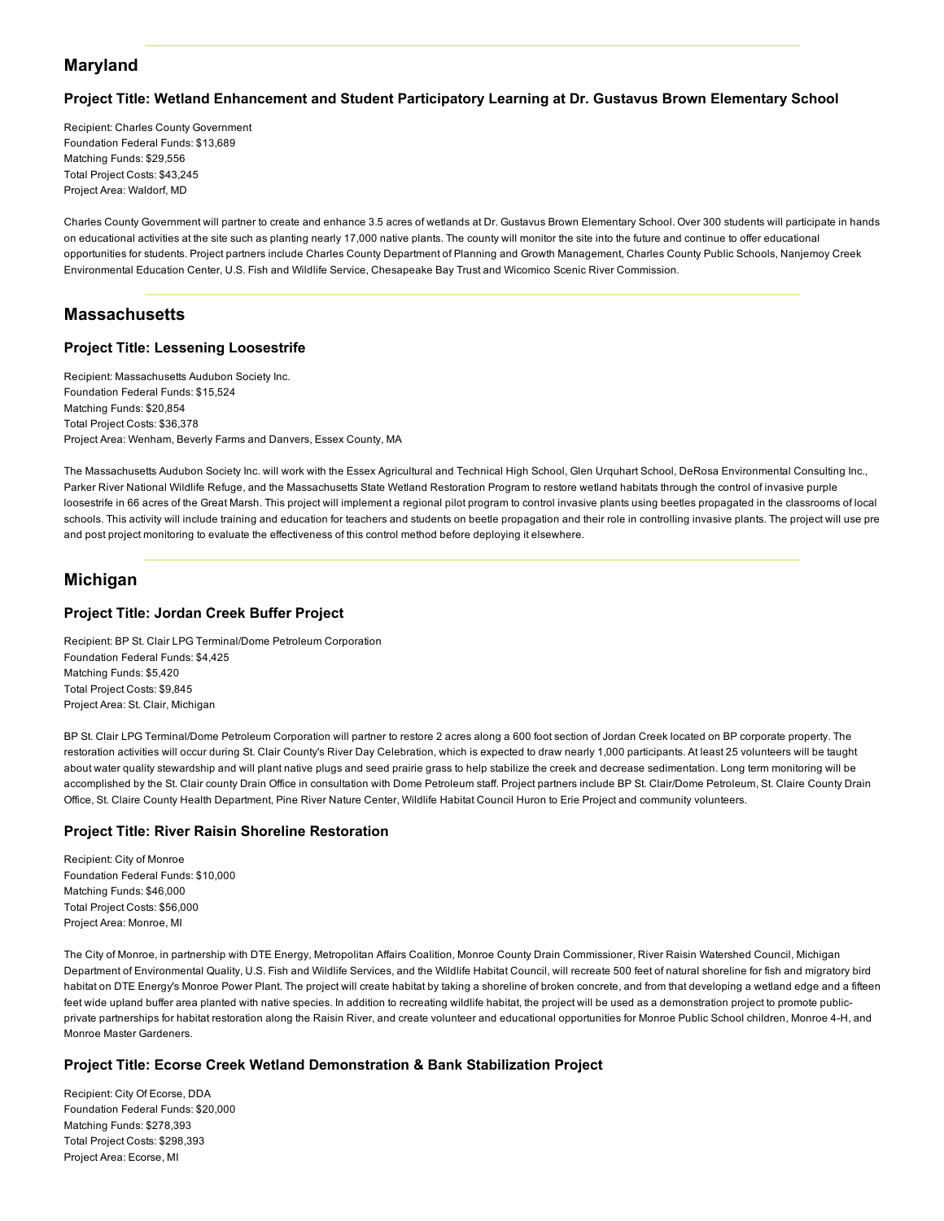### Maryland

#### Project Title: Wetland Enhancement and Student Participatory Learning at Dr. Gustavus Brown Elementary School

Recipient: Charles County Government Foundation Federal Funds: \$13,689 Matching Funds: \$29,556 Total Project Costs: \$43,245 Project Area: Waldorf, MD

Charles County Government will partner to create and enhance 3.5 acres of wetlands at Dr. Gustavus Brown Elementary School. Over 300 students will participate in hands on educational activities at the site such as planting nearly 17,000 native plants. The county will monitor the site into the future and continue to offer educational opportunities for students. Project partners include Charles County Department of Planning and Growth Management, Charles County Public Schools, Nanjemoy Creek Environmental Education Center, U.S. Fish and Wildlife Service, Chesapeake Bay Trust and Wicomico Scenic River Commission.

## **Massachusetts**

#### Project Title: Lessening Loosestrife

Recipient: Massachusetts Audubon Society Inc. Foundation Federal Funds: \$15,524 Matching Funds: \$20,854 Total Project Costs: \$36,378 Project Area: Wenham, Beverly Farms and Danvers, Essex County, MA

The Massachusetts Audubon Society Inc. will work with the Essex Agricultural and Technical High School, Glen Urquhart School, DeRosa Environmental Consulting Inc., Parker River National Wildlife Refuge, and the Massachusetts State Wetland Restoration Program to restore wetland habitats through the control of invasive purple loosestrife in 66 acres of the Great Marsh. This project will implement a regional pilot program to control invasive plants using beetles propagated in the classrooms of local schools. This activity will include training and education for teachers and students on beetle propagation and their role in controlling invasive plants. The project will use pre and post project monitoring to evaluate the effectiveness of this control method before deploying it elsewhere.

## Michigan

#### Project Title: Jordan Creek Buffer Project

Recipient: BP St. Clair LPG Terminal/Dome Petroleum Corporation Foundation Federal Funds: \$4,425 Matching Funds: \$5,420 Total Project Costs: \$9,845 Project Area: St. Clair, Michigan

BP St. Clair LPG Terminal/Dome Petroleum Corporation will partner to restore 2 acres along a 600 foot section of Jordan Creek located on BP corporate property. The restoration activities will occur during St. Clair County's River Day Celebration, which is expected to draw nearly 1,000 participants. At least 25 volunteers will be taught about water quality stewardship and will plant native plugs and seed prairie grass to help stabilize the creek and decrease sedimentation. Long term monitoring will be accomplished by the St. Clair county Drain Office in consultation with Dome Petroleum staff. Project partners include BP St. Clair/Dome Petroleum, St. Claire County Drain Office, St. Claire County Health Department, Pine River Nature Center, Wildlife Habitat Council Huron to Erie Project and community volunteers.

#### Project Title: River Raisin Shoreline Restoration

Recipient: City of Monroe Foundation Federal Funds: \$10,000 Matching Funds: \$46,000 Total Project Costs: \$56,000 Project Area: Monroe, MI

The City of Monroe, in partnership with DTE Energy, Metropolitan Affairs Coalition, Monroe County Drain Commissioner, River Raisin Watershed Council, Michigan Department of Environmental Quality, U.S. Fish and Wildlife Services, and the Wildlife Habitat Council, will recreate 500 feet of natural shoreline for fish and migratory bird habitat on DTE Energy's Monroe Power Plant. The project will create habitat by taking a shoreline of broken concrete, and from that developing a wetland edge and a fifteen feet wide upland buffer area planted with native species. In addition to recreating wildlife habitat, the project will be used as a demonstration project to promote publicprivate partnerships for habitat restoration along the Raisin River, and create volunteer and educational opportunities for Monroe Public School children, Monroe 4-H, and Monroe Master Gardeners.

#### Project Title: Ecorse Creek Wetland Demonstration & Bank Stabilization Project

Recipient: City Of Ecorse, DDA Foundation Federal Funds: \$20,000 Matching Funds: \$278,393 Total Project Costs: \$298,393 Project Area: Ecorse, MI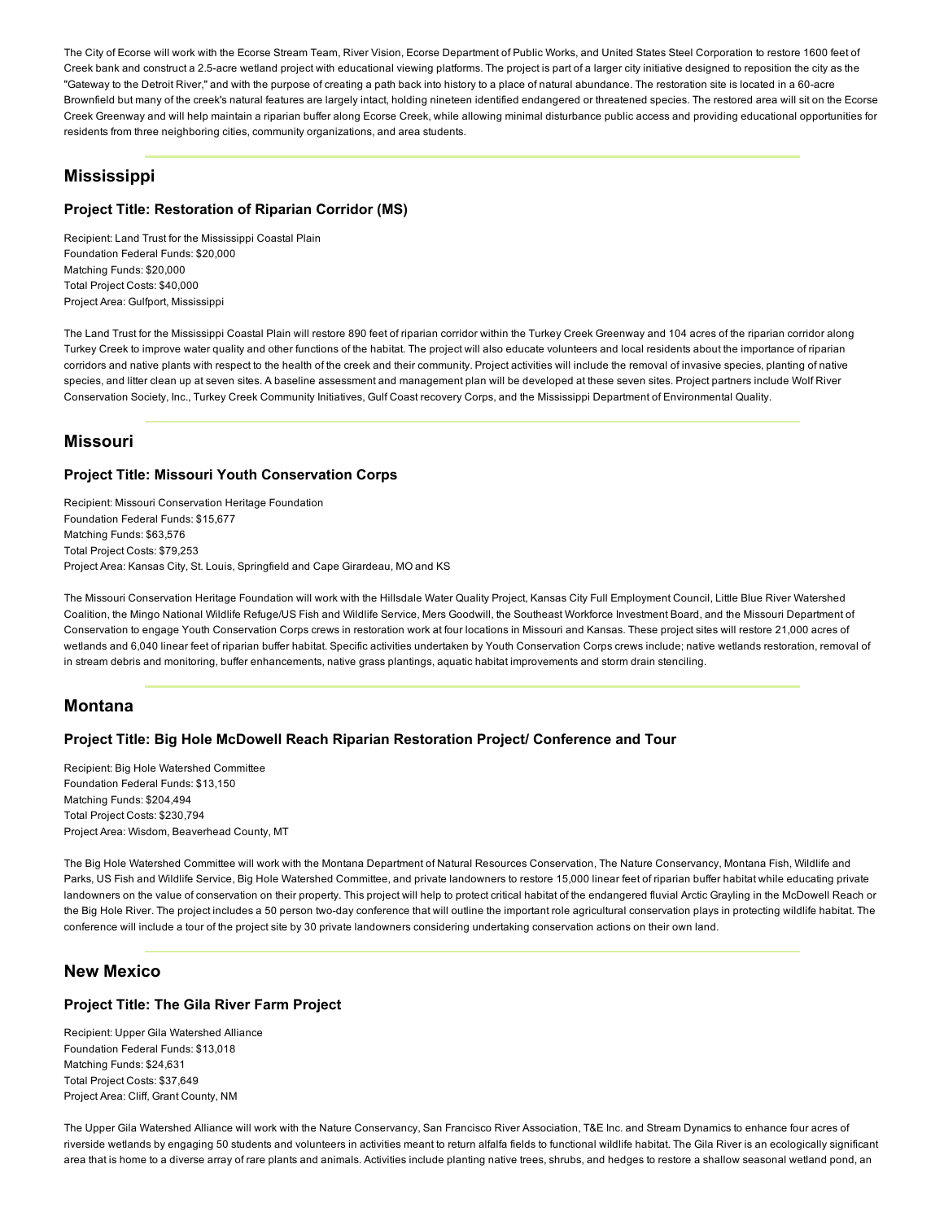The City of Ecorse will work with the Ecorse Stream Team, River Vision, Ecorse Department of Public Works, and United States Steel Corporation to restore 1600 feet of Creek bank and construct a 2.5-acre wetland project with educational viewing platforms. The project is part of a larger city initiative designed to reposition the city as the "Gateway to the Detroit River," and with the purpose of creating a path back into history to a place of natural abundance. The restoration site is located in a 60-acre Brownfield but many of the creek's natural features are largely intact, holding nineteen identified endangered or threatened species. The restored area will sit on the Ecorse Creek Greenway and will help maintain a riparian buffer along Ecorse Creek, while allowing minimal disturbance public access and providing educational opportunities for residents from three neighboring cities, community organizations, and area students.

## Mississippi

### Project Title: Restoration of Riparian Corridor (MS)

Recipient: Land Trust for the Mississippi Coastal Plain Foundation Federal Funds: \$20,000 Matching Funds: \$20,000 Total Project Costs: \$40,000 Project Area: Gulfport, Mississippi

The Land Trust for the Mississippi Coastal Plain will restore 890 feet of riparian corridor within the Turkey Creek Greenway and 104 acres of the riparian corridor along Turkey Creek to improve water quality and other functions of the habitat. The project will also educate volunteers and local residents about the importance of riparian corridors and native plants with respect to the health of the creek and their community. Project activities will include the removal of invasive species, planting of native species, and litter clean up at seven sites. A baseline assessment and management plan will be developed at these seven sites. Project partners include Wolf River Conservation Society, Inc., Turkey Creek Community Initiatives, Gulf Coast recovery Corps, and the Mississippi Department of Environmental Quality.

## Missouri

#### Project Title: Missouri Youth Conservation Corps

Recipient: Missouri Conservation Heritage Foundation Foundation Federal Funds: \$15,677 Matching Funds: \$63,576 Total Project Costs: \$79,253 Project Area: Kansas City, St. Louis, Springfield and Cape Girardeau, MO and KS

The Missouri Conservation Heritage Foundation will work with the Hillsdale Water Quality Project, Kansas City Full Employment Council, Little Blue River Watershed Coalition, the Mingo National Wildlife Refuge/US Fish and Wildlife Service, Mers Goodwill, the Southeast Workforce Investment Board, and the Missouri Department of Conservation to engage Youth Conservation Corps crews in restoration work at four locations in Missouri and Kansas. These project sites will restore 21,000 acres of wetlands and 6,040 linear feet of riparian buffer habitat. Specific activities undertaken by Youth Conservation Corps crews include; native wetlands restoration, removal of in stream debris and monitoring, buffer enhancements, native grass plantings, aquatic habitat improvements and storm drain stenciling.

### Montana

#### Project Title: Big Hole McDowell Reach Riparian Restoration Project/ Conference and Tour

Recipient: Big Hole Watershed Committee Foundation Federal Funds: \$13,150 Matching Funds: \$204,494 Total Project Costs: \$230,794 Project Area: Wisdom, Beaverhead County, MT

The Big Hole Watershed Committee will work with the Montana Department of Natural Resources Conservation, The Nature Conservancy, Montana Fish, Wildlife and Parks, US Fish and Wildlife Service, Big Hole Watershed Committee, and private landowners to restore 15,000 linear feet of riparian buffer habitat while educating private landowners on the value of conservation on their property. This project will help to protect critical habitat of the endangered fluvial Arctic Grayling in the McDowell Reach or the Big Hole River. The project includes a 50 person two-day conference that will outline the important role agricultural conservation plays in protecting wildlife habitat. The conference will include a tour of the project site by 30 private landowners considering undertaking conservation actions on their own land.

## New Mexico

### Project Title: The Gila River Farm Project

Recipient: Upper Gila Watershed Alliance Foundation Federal Funds: \$13,018 Matching Funds: \$24,631 Total Project Costs: \$37,649 Project Area: Cliff, Grant County, NM

The Upper Gila Watershed Alliance will work with the Nature Conservancy, San Francisco River Association, T&E Inc. and Stream Dynamics to enhance four acres of riverside wetlands by engaging 50 students and volunteers in activities meant to return alfalfa fields to functional wildlife habitat. The Gila River is an ecologically significant area that is home to a diverse array of rare plants and animals. Activities include planting native trees, shrubs, and hedges to restore a shallow seasonal wetland pond, an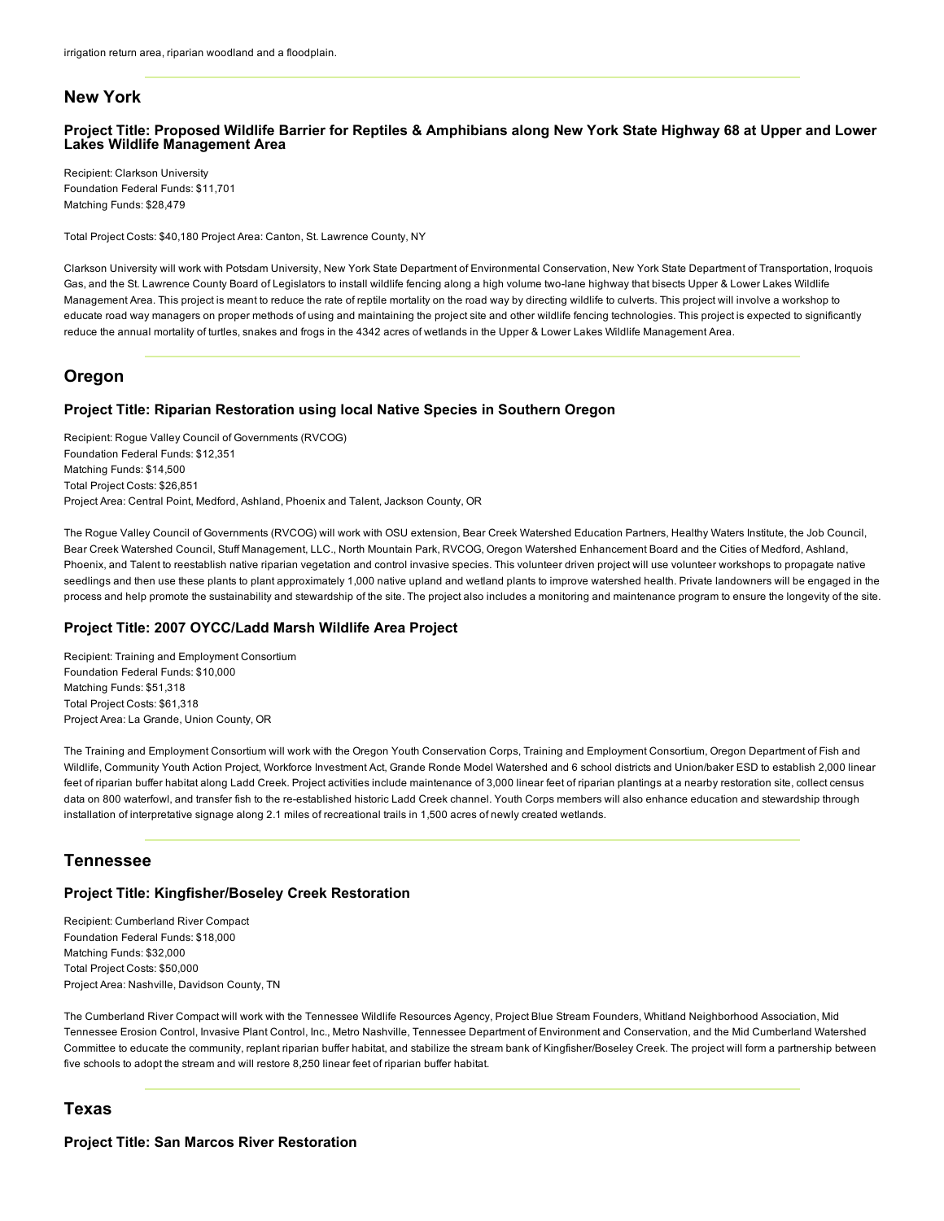### New York

#### Project Title: Proposed Wildlife Barrier for Reptiles & Amphibians along New York State Highway 68 at Upper and Lower Lakes Wildlife Management Area

Recipient: Clarkson University Foundation Federal Funds: \$11,701 Matching Funds: \$28,479

Total Project Costs: \$40,180 Project Area: Canton, St. Lawrence County, NY

Clarkson University will work with Potsdam University, New York State Department of Environmental Conservation, New York State Department of Transportation, Iroquois Gas, and the St. Lawrence County Board of Legislators to install wildlife fencing along a high volume two-lane highway that bisects Upper & Lower Lakes Wildlife Management Area. This project is meant to reduce the rate of reptile mortality on the road way by directing wildlife to culverts. This project will involve a workshop to educate road way managers on proper methods of using and maintaining the project site and other wildlife fencing technologies. This project is expected to significantly reduce the annual mortality of turtles, snakes and frogs in the 4342 acres of wetlands in the Upper & Lower Lakes Wildlife Management Area.

### **Oregon**

#### Project Title: Riparian Restoration using local Native Species in Southern Oregon

Recipient: Rogue Valley Council of Governments (RVCOG) Foundation Federal Funds: \$12,351 Matching Funds: \$14,500 Total Project Costs: \$26,851 Project Area: Central Point, Medford, Ashland, Phoenix and Talent, Jackson County, OR

The Rogue Valley Council of Governments (RVCOG) will work with OSU extension, Bear Creek Watershed Education Partners, Healthy Waters Institute, the Job Council, Bear Creek Watershed Council, Stuff Management, LLC., North Mountain Park, RVCOG, Oregon Watershed Enhancement Board and the Cities of Medford, Ashland, Phoenix, and Talent to reestablish native riparian vegetation and control invasive species. This volunteer driven project will use volunteer workshops to propagate native seedlings and then use these plants to plant approximately 1,000 native upland and wetland plants to improve watershed health. Private landowners will be engaged in the process and help promote the sustainability and stewardship of the site. The project also includes a monitoring and maintenance program to ensure the longevity of the site.

#### Project Title: 2007 OYCC/Ladd Marsh Wildlife Area Project

Recipient: Training and Employment Consortium Foundation Federal Funds: \$10,000 Matching Funds: \$51,318 Total Project Costs: \$61,318 Project Area: La Grande, Union County, OR

The Training and Employment Consortium will work with the Oregon Youth Conservation Corps, Training and Employment Consortium, Oregon Department of Fish and Wildlife, Community Youth Action Project, Workforce Investment Act, Grande Ronde Model Watershed and 6 school districts and Union/baker ESD to establish 2,000 linear feet of riparian buffer habitat along Ladd Creek. Project activities include maintenance of 3,000 linear feet of riparian plantings at a nearby restoration site, collect census data on 800 waterfowl, and transfer fish to the re-established historic Ladd Creek channel. Youth Corps members will also enhance education and stewardship through installation of interpretative signage along 2.1 miles of recreational trails in 1,500 acres of newly created wetlands.

### Tennessee

#### Project Title: Kingfisher/Boseley Creek Restoration

Recipient: Cumberland River Compact Foundation Federal Funds: \$18,000 Matching Funds: \$32,000 Total Project Costs: \$50,000 Project Area: Nashville, Davidson County, TN

The Cumberland River Compact will work with the Tennessee Wildlife Resources Agency, Project Blue Stream Founders, Whitland Neighborhood Association, Mid Tennessee Erosion Control, Invasive Plant Control, Inc., Metro Nashville, Tennessee Department of Environment and Conservation, and the Mid Cumberland Watershed Committee to educate the community, replant riparian buffer habitat, and stabilize the stream bank of Kingfisher/Boseley Creek. The project will form a partnership between five schools to adopt the stream and will restore 8,250 linear feet of riparian buffer habitat.

### Texas

Project Title: San Marcos River Restoration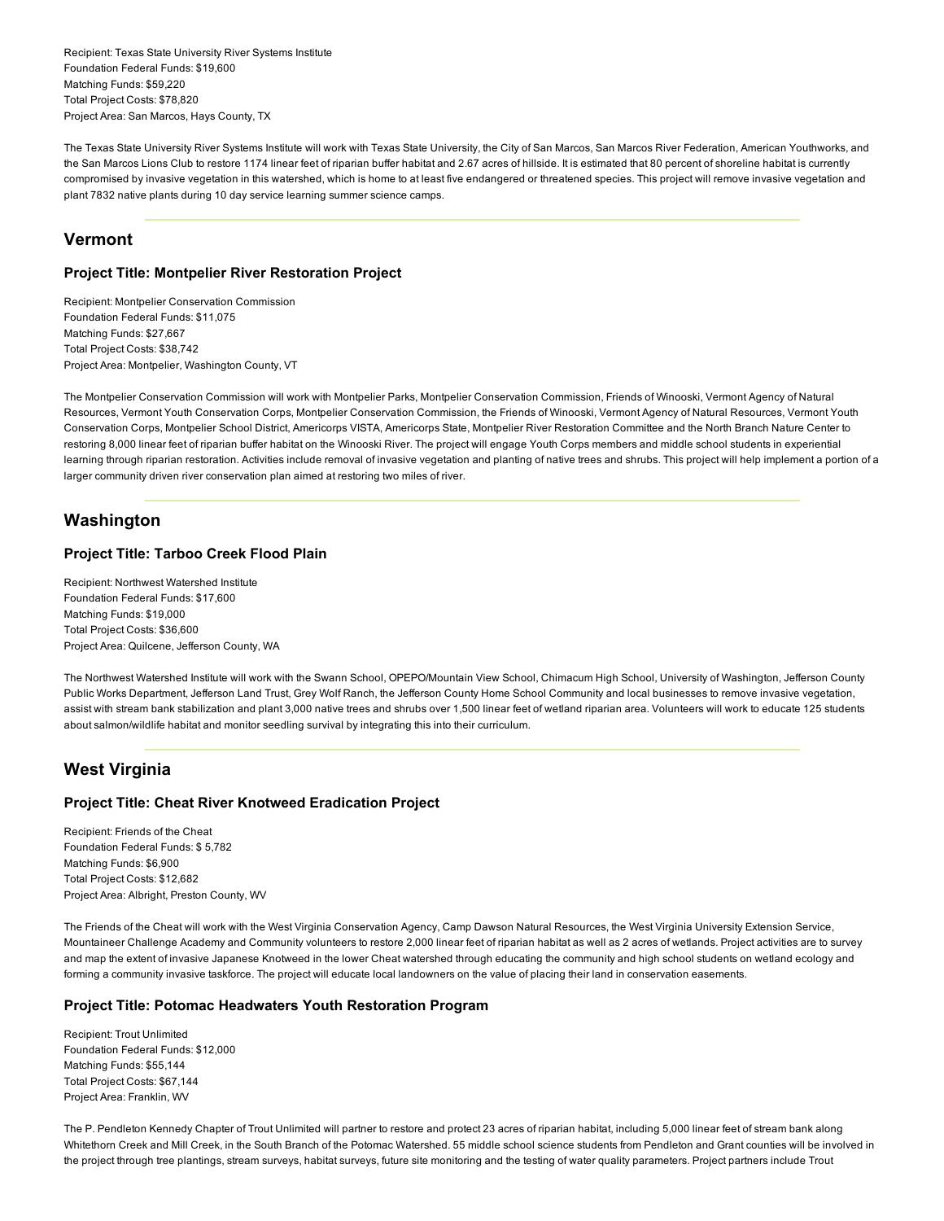Recipient: Texas State University River Systems Institute Foundation Federal Funds: \$19,600 Matching Funds: \$59,220 Total Project Costs: \$78,820 Project Area: San Marcos, Hays County, TX

The Texas State University River Systems Institute will work with Texas State University, the City of San Marcos, San Marcos River Federation, American Youthworks, and the San Marcos Lions Club to restore 1174 linear feet of riparian buffer habitat and 2.67 acres of hillside. It is estimated that 80 percent of shoreline habitat is currently compromised by invasive vegetation in this watershed, which is home to at least five endangered or threatened species. This project will remove invasive vegetation and plant 7832 native plants during 10 day service learning summer science camps.

### Vermont

#### Project Title: Montpelier River Restoration Project

Recipient: Montpelier Conservation Commission Foundation Federal Funds: \$11,075 Matching Funds: \$27,667 Total Project Costs: \$38,742 Project Area: Montpelier, Washington County, VT

The Montpelier Conservation Commission will work with Montpelier Parks, Montpelier Conservation Commission, Friends of Winooski, Vermont Agency of Natural Resources, Vermont Youth Conservation Corps, Montpelier Conservation Commission, the Friends of Winooski, Vermont Agency of Natural Resources, Vermont Youth Conservation Corps, Montpelier School District, Americorps VISTA, Americorps State, Montpelier River Restoration Committee and the North Branch Nature Center to restoring 8,000 linear feet of riparian buffer habitat on the Winooski River. The project will engage Youth Corps members and middle school students in experiential learning through riparian restoration. Activities include removal of invasive vegetation and planting of native trees and shrubs. This project will help implement a portion of a larger community driven river conservation plan aimed at restoring two miles of river.

## **Washington**

#### Project Title: Tarboo Creek Flood Plain

Recipient: Northwest Watershed Institute Foundation Federal Funds: \$17,600 Matching Funds: \$19,000 Total Project Costs: \$36,600 Project Area: Quilcene, Jefferson County, WA

The Northwest Watershed Institute will work with the Swann School, OPEPO/Mountain View School, Chimacum High School, University of Washington, Jefferson County Public Works Department, Jefferson Land Trust, Grey Wolf Ranch, the Jefferson County Home School Community and local businesses to remove invasive vegetation, assist with stream bank stabilization and plant 3,000 native trees and shrubs over 1,500 linear feet of wetland riparian area. Volunteers will work to educate 125 students about salmon/wildlife habitat and monitor seedling survival by integrating this into their curriculum.

## West Virginia

#### Project Title: Cheat River Knotweed Eradication Project

Recipient: Friends of the Cheat Foundation Federal Funds: \$ 5,782 Matching Funds: \$6,900 Total Project Costs: \$12,682 Project Area: Albright, Preston County, WV

The Friends of the Cheat will work with the West Virginia Conservation Agency, Camp Dawson Natural Resources, the West Virginia University Extension Service, Mountaineer Challenge Academy and Community volunteers to restore 2,000 linear feet of riparian habitat as well as 2 acres of wetlands. Project activities are to survey and map the extent of invasive Japanese Knotweed in the lower Cheat watershed through educating the community and high school students on wetland ecology and forming a community invasive taskforce. The project will educate local landowners on the value of placing their land in conservation easements.

#### Project Title: Potomac Headwaters Youth Restoration Program

Recipient: Trout Unlimited Foundation Federal Funds: \$12,000 Matching Funds: \$55,144 Total Project Costs: \$67,144 Project Area: Franklin, WV

The P. Pendleton Kennedy Chapter of Trout Unlimited will partner to restore and protect 23 acres of riparian habitat, including 5,000 linear feet of stream bank along Whitethorn Creek and Mill Creek, in the South Branch of the Potomac Watershed. 55 middle school science students from Pendleton and Grant counties will be involved in the project through tree plantings, stream surveys, habitat surveys, future site monitoring and the testing of water quality parameters. Project partners include Trout